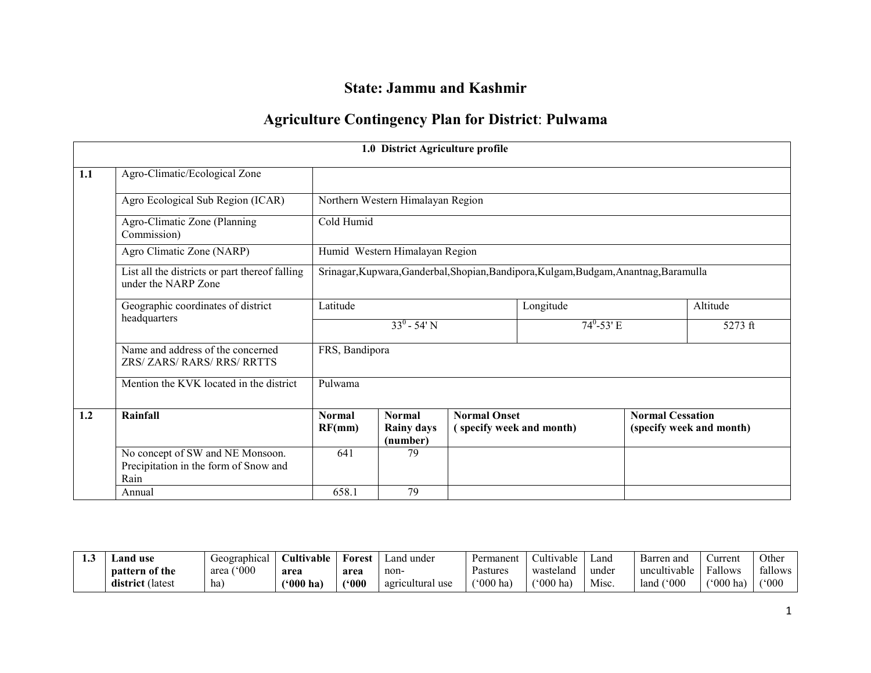# State: Jammu and Kashmir

# Agriculture Contingency Plan for District: Pulwama

|     |                                                                                   |                         | 1.0 District Agriculture profile               |                     |                                                                                       |                                                     |          |
|-----|-----------------------------------------------------------------------------------|-------------------------|------------------------------------------------|---------------------|---------------------------------------------------------------------------------------|-----------------------------------------------------|----------|
| 1.1 | Agro-Climatic/Ecological Zone                                                     |                         |                                                |                     |                                                                                       |                                                     |          |
|     | Agro Ecological Sub Region (ICAR)                                                 |                         | Northern Western Himalayan Region              |                     |                                                                                       |                                                     |          |
|     | Agro-Climatic Zone (Planning<br>Commission)                                       | Cold Humid              |                                                |                     |                                                                                       |                                                     |          |
|     | Agro Climatic Zone (NARP)                                                         |                         | Humid Western Himalayan Region                 |                     |                                                                                       |                                                     |          |
|     | List all the districts or part thereof falling<br>under the NARP Zone             |                         |                                                |                     | Srinagar, Kupwara, Ganderbal, Shopian, Bandipora, Kulgam, Budgam, Anantnag, Baramulla |                                                     |          |
|     | Geographic coordinates of district                                                | Latitude                |                                                |                     | Longitude                                                                             |                                                     | Altitude |
|     | headquarters                                                                      | $33^0 - 54' N$          |                                                |                     | $74^{\circ} - 53'$ E                                                                  | 5273 ft                                             |          |
|     | Name and address of the concerned<br>ZRS/ZARS/RARS/RRS/RRTTS                      | FRS, Bandipora          |                                                |                     |                                                                                       |                                                     |          |
|     | Mention the KVK located in the district                                           | Pulwama                 |                                                |                     |                                                                                       |                                                     |          |
| 1.2 | Rainfall                                                                          | <b>Normal</b><br>RF(mm) | <b>Normal</b><br><b>Rainy days</b><br>(number) | <b>Normal Onset</b> | (specify week and month)                                                              | <b>Normal Cessation</b><br>(specify week and month) |          |
|     | No concept of SW and NE Monsoon.<br>Precipitation in the form of Snow and<br>Rain | 641                     | 79                                             |                     |                                                                                       |                                                     |          |
|     | Annual                                                                            | 658.1                   | 79                                             |                     |                                                                                       |                                                     |          |

| -- | and<br>. use     | Geographical          | <b>lultivable</b> د | Forest | 1 under<br>∠and  | Permanent         | `ultivable               | ∟and  | Barren and            | Current                  | Othe.         |
|----|------------------|-----------------------|---------------------|--------|------------------|-------------------|--------------------------|-------|-----------------------|--------------------------|---------------|
|    | pattern of the   | $^{\circ}000$<br>area | area                | area   | non-             | Pastures          | wasteland                | under | uncultivable          | Fallows                  | fallows       |
|    | district (latest | ha                    | "000 ha             | (500)  | agricultural use | $^{\circ}000$ ha) | $^{\prime\prime}000$ ha) | Misc  | $^{\circ}000$<br>land | $^{\prime\prime}000$ ha) | $000^{\circ}$ |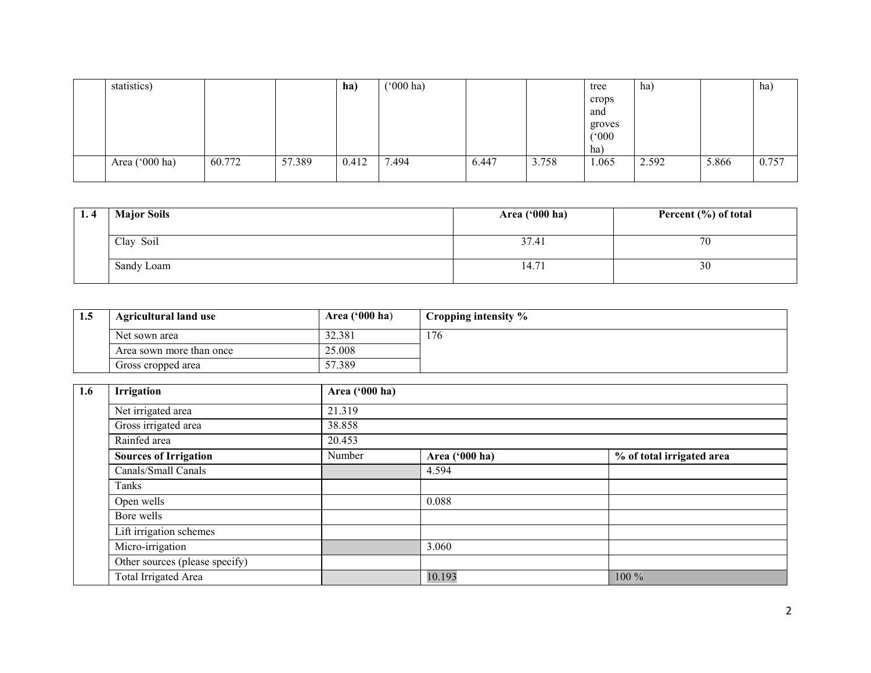| statistics)    |        |        | ha    | $(000 \text{ ha})$ |       |       | tree         | ha)   |       | ha)   |
|----------------|--------|--------|-------|--------------------|-------|-------|--------------|-------|-------|-------|
|                |        |        |       |                    |       |       | crops<br>and |       |       |       |
|                |        |        |       |                    |       |       | groves       |       |       |       |
|                |        |        |       |                    |       |       | (000)<br>ha) |       |       |       |
|                |        |        |       |                    |       |       |              |       |       |       |
| Area ('000 ha) | 60.772 | 57.389 | 0.412 | 7.494              | 6.447 | 3.758 | 1.065        | 2.592 | 5.866 | 0.757 |

| 1.4 | <b>Major Soils</b> | Area ('000 ha) | Percent (%) of total |
|-----|--------------------|----------------|----------------------|
|     | Clay Soil          | 37.41          | 70                   |
|     | Sandy Loam         | 14.71          | 30                   |

| 1.5 | <b>Agricultural land use</b> | Area $('000 ha)$ | Cropping intensity % |
|-----|------------------------------|------------------|----------------------|
|     | Net sown area                | 32.381           | 176                  |
|     | Area sown more than once     | 25.008           |                      |
|     | Gross cropped area           | 57.389           |                      |

| 1.6 | Irrigation                     | Area ('000 ha) |                |                           |
|-----|--------------------------------|----------------|----------------|---------------------------|
|     | Net irrigated area             | 21.319         |                |                           |
|     | Gross irrigated area           | 38.858         |                |                           |
|     | Rainfed area                   | 20.453         |                |                           |
|     | <b>Sources of Irrigation</b>   | Number         | Area ('000 ha) | % of total irrigated area |
|     | Canals/Small Canals            |                | 4.594          |                           |
|     | Tanks                          |                |                |                           |
|     | Open wells                     |                | 0.088          |                           |
|     | Bore wells                     |                |                |                           |
|     | Lift irrigation schemes        |                |                |                           |
|     | Micro-irrigation               |                | 3.060          |                           |
|     | Other sources (please specify) |                |                |                           |
|     | Total Irrigated Area           |                | 10.193         | 100 %                     |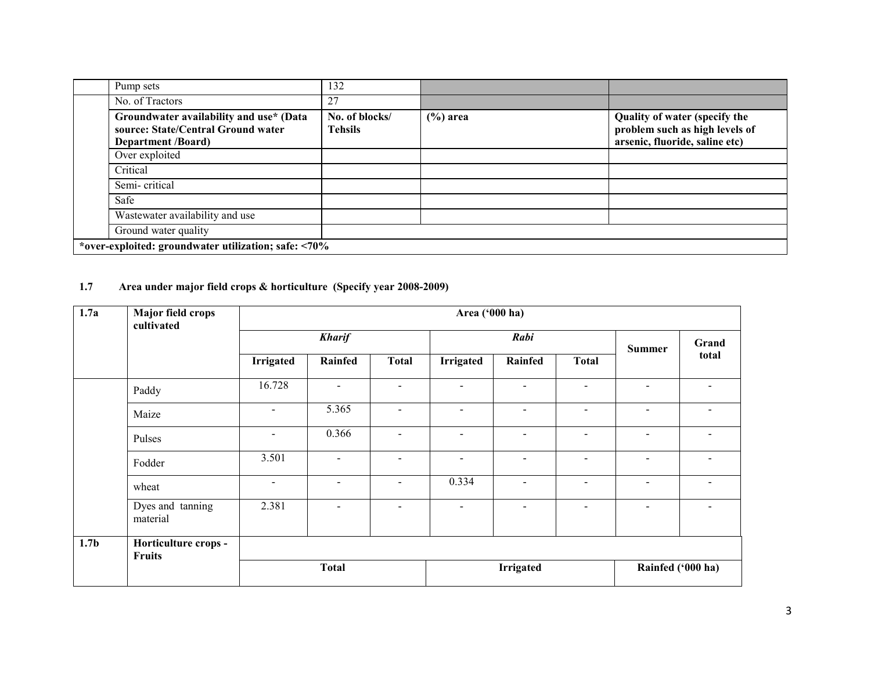|  | Pump sets                                                                                                  | 132                              |              |                                                                                                          |  |  |  |  |
|--|------------------------------------------------------------------------------------------------------------|----------------------------------|--------------|----------------------------------------------------------------------------------------------------------|--|--|--|--|
|  | No. of Tractors                                                                                            | 27                               |              |                                                                                                          |  |  |  |  |
|  | Groundwater availability and use* (Data<br>source: State/Central Ground water<br><b>Department /Board)</b> | No. of blocks/<br><b>Tehsils</b> | $(\% )$ area | <b>Quality of water (specify the</b><br>problem such as high levels of<br>arsenic, fluoride, saline etc) |  |  |  |  |
|  | Over exploited                                                                                             |                                  |              |                                                                                                          |  |  |  |  |
|  | Critical                                                                                                   |                                  |              |                                                                                                          |  |  |  |  |
|  | Semi-critical                                                                                              |                                  |              |                                                                                                          |  |  |  |  |
|  | Safe                                                                                                       |                                  |              |                                                                                                          |  |  |  |  |
|  | Wastewater availability and use                                                                            |                                  |              |                                                                                                          |  |  |  |  |
|  | Ground water quality                                                                                       |                                  |              |                                                                                                          |  |  |  |  |
|  | *over-exploited: groundwater utilization; safe: <70%                                                       |                                  |              |                                                                                                          |  |  |  |  |

### 1.7 Area under major field crops & horticulture (Specify year 2008-2009)

| 1.7a             | <b>Major field crops</b><br>cultivated |                          |                |                | Area ('000 ha)           |                          |                          |                          |                   |  |
|------------------|----------------------------------------|--------------------------|----------------|----------------|--------------------------|--------------------------|--------------------------|--------------------------|-------------------|--|
|                  |                                        | <b>Kharif</b>            |                |                | Rabi                     |                          |                          | <b>Summer</b>            | Grand             |  |
|                  |                                        | <b>Irrigated</b>         | Rainfed        | <b>Total</b>   | <b>Irrigated</b>         | Rainfed                  | <b>Total</b>             |                          | total             |  |
|                  | Paddy                                  | 16.728                   | $\blacksquare$ | $\blacksquare$ | $\sim$                   | $\blacksquare$           | $\overline{\phantom{a}}$ | $\blacksquare$           | $\blacksquare$    |  |
|                  | Maize                                  | $\blacksquare$           | 5.365          | $\blacksquare$ | $\overline{\phantom{0}}$ | $\blacksquare$           | $\overline{\phantom{0}}$ | $\blacksquare$           |                   |  |
|                  | Pulses                                 | $\overline{\phantom{a}}$ | 0.366          | $\sim$         | $\sim$                   | $\blacksquare$           | $\overline{\phantom{a}}$ | $\overline{\phantom{a}}$ | $\blacksquare$    |  |
|                  | Fodder                                 | 3.501                    | $\blacksquare$ | $\sim$         | $\overline{\phantom{a}}$ | $\sim$                   | $\overline{\phantom{a}}$ | $\overline{\phantom{a}}$ | $\blacksquare$    |  |
|                  | wheat                                  | $\blacksquare$           | $\blacksquare$ | $\blacksquare$ | 0.334                    |                          | $\blacksquare$           | $\blacksquare$           | $\blacksquare$    |  |
|                  | Dyes and tanning<br>material           | 2.381                    | $\sim$         | $\blacksquare$ | $\sim$                   | $\overline{\phantom{0}}$ | $\blacksquare$           | $\blacksquare$           | $\blacksquare$    |  |
| 1.7 <sub>b</sub> | Horticulture crops -<br><b>Fruits</b>  |                          |                |                |                          |                          |                          |                          |                   |  |
|                  |                                        |                          |                | <b>Total</b>   |                          | <b>Irrigated</b>         |                          |                          | Rainfed ('000 ha) |  |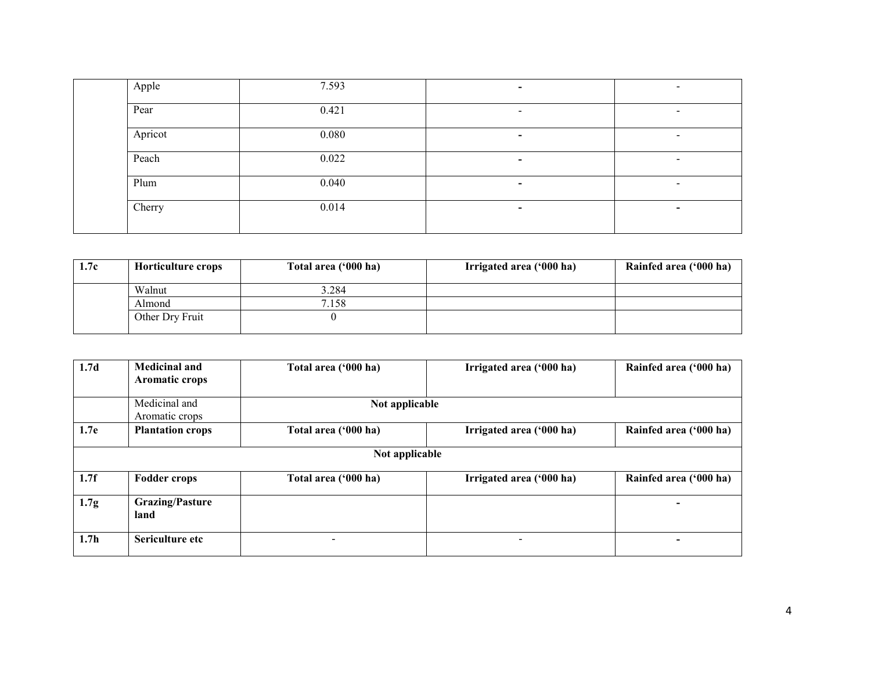| Apple   | 7.593 | $\sim$                   | $\overline{\phantom{a}}$ |
|---------|-------|--------------------------|--------------------------|
| Pear    | 0.421 |                          | $\overline{\phantom{0}}$ |
| Apricot | 0.080 | -                        | $\overline{\phantom{a}}$ |
| Peach   | 0.022 |                          | $\overline{\phantom{0}}$ |
| Plum    | 0.040 | $\overline{\phantom{0}}$ | $\qquad \qquad$          |
| Cherry  | 0.014 |                          | $\overline{\phantom{0}}$ |

| 1.7c | <b>Horticulture crops</b> | Total area ('000 ha) | Irrigated area ('000 ha) | Rainfed area ('000 ha) |
|------|---------------------------|----------------------|--------------------------|------------------------|
|      | Walnut                    | 3.284                |                          |                        |
|      | Almond                    | 7.158                |                          |                        |
|      | Other Dry Fruit           |                      |                          |                        |
|      |                           |                      |                          |                        |

| 1.7 <sub>d</sub> | <b>Medicinal and</b><br>Aromatic crops            | Total area ('000 ha) | Irrigated area ('000 ha) | Rainfed area ('000 ha)   |  |  |  |  |  |
|------------------|---------------------------------------------------|----------------------|--------------------------|--------------------------|--|--|--|--|--|
|                  | Medicinal and<br>Not applicable<br>Aromatic crops |                      |                          |                          |  |  |  |  |  |
| 1.7 <sub>e</sub> | <b>Plantation crops</b>                           | Total area ('000 ha) | Irrigated area ('000 ha) | Rainfed area ('000 ha)   |  |  |  |  |  |
|                  | Not applicable                                    |                      |                          |                          |  |  |  |  |  |
| 1.7f             | <b>Fodder crops</b>                               | Total area ('000 ha) | Irrigated area ('000 ha) | Rainfed area ('000 ha)   |  |  |  |  |  |
| 1.7 <sub>g</sub> | <b>Grazing/Pasture</b><br>land                    |                      |                          |                          |  |  |  |  |  |
| 1.7 <sub>h</sub> | Sericulture etc                                   | -                    | -                        | $\overline{\phantom{0}}$ |  |  |  |  |  |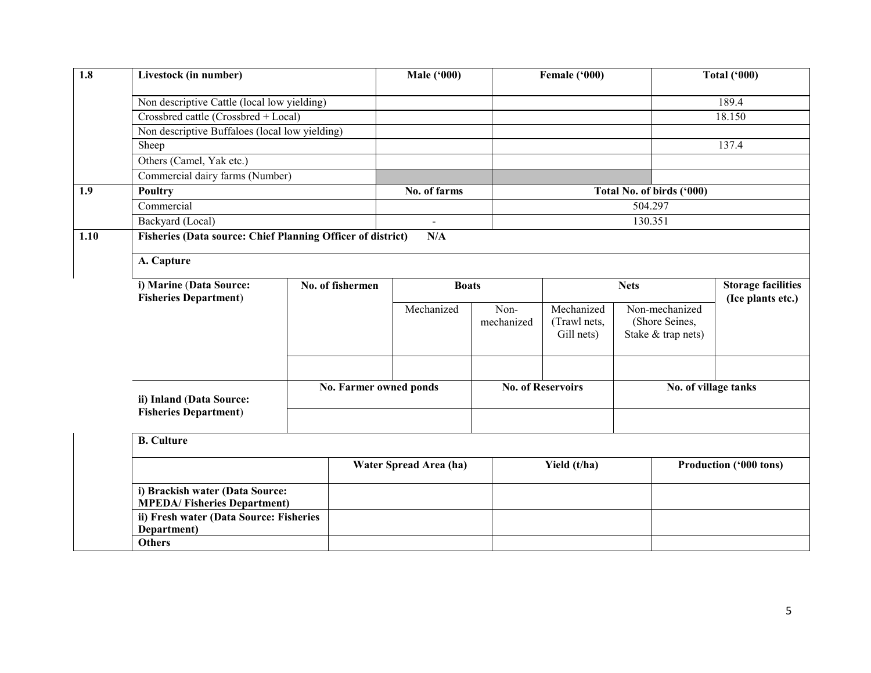| 1.8  | Livestock (in number)                                                     |                                         |                                  | <b>Male ('000)</b>     |            | Female ('000)            |         |                           | <b>Total ('000)</b>       |  |  |
|------|---------------------------------------------------------------------------|-----------------------------------------|----------------------------------|------------------------|------------|--------------------------|---------|---------------------------|---------------------------|--|--|
|      | Non descriptive Cattle (local low yielding)                               |                                         |                                  |                        |            |                          |         |                           | 189.4                     |  |  |
|      | Crossbred cattle (Crossbred + Local)                                      |                                         |                                  |                        |            |                          |         |                           | 18.150                    |  |  |
|      | Non descriptive Buffaloes (local low yielding)                            |                                         |                                  |                        |            |                          |         |                           |                           |  |  |
|      | Sheep                                                                     |                                         |                                  |                        |            |                          |         |                           | 137.4                     |  |  |
|      | Others (Camel, Yak etc.)                                                  |                                         |                                  |                        |            |                          |         |                           |                           |  |  |
|      | Commercial dairy farms (Number)                                           |                                         |                                  |                        |            |                          |         |                           |                           |  |  |
| 1.9  | Poultry                                                                   |                                         |                                  | No. of farms           |            |                          |         | Total No. of birds ('000) |                           |  |  |
|      | Commercial                                                                |                                         |                                  |                        |            |                          | 504.297 |                           |                           |  |  |
|      | Backyard (Local)                                                          |                                         |                                  | $\blacksquare$         |            |                          | 130.351 |                           |                           |  |  |
| 1.10 | <b>Fisheries (Data source: Chief Planning Officer of district)</b><br>N/A |                                         |                                  |                        |            |                          |         |                           |                           |  |  |
|      | A. Capture                                                                |                                         |                                  |                        |            |                          |         |                           |                           |  |  |
|      | i) Marine (Data Source:                                                   |                                         | No. of fishermen<br><b>Boats</b> |                        |            | <b>Nets</b>              |         |                           | <b>Storage facilities</b> |  |  |
|      | <b>Fisheries Department)</b>                                              |                                         |                                  | Mechanized             | Non-       | Mechanized               |         | Non-mechanized            | (Ice plants etc.)         |  |  |
|      |                                                                           |                                         |                                  |                        | mechanized | (Trawl nets,             |         | (Shore Seines,            |                           |  |  |
|      |                                                                           |                                         |                                  |                        |            | Gill nets)               |         | Stake & trap nets)        |                           |  |  |
|      |                                                                           |                                         |                                  |                        |            |                          |         |                           |                           |  |  |
|      |                                                                           |                                         |                                  |                        |            |                          |         |                           |                           |  |  |
|      | ii) Inland (Data Source:                                                  |                                         | No. Farmer owned ponds           |                        |            | <b>No. of Reservoirs</b> |         | No. of village tanks      |                           |  |  |
|      | <b>Fisheries Department)</b>                                              |                                         |                                  |                        |            |                          |         |                           |                           |  |  |
|      | <b>B.</b> Culture                                                         |                                         |                                  |                        |            |                          |         |                           |                           |  |  |
|      |                                                                           |                                         |                                  | Water Spread Area (ha) |            | Yield (t/ha)             |         |                           | Production ('000 tons)    |  |  |
|      | i) Brackish water (Data Source:<br><b>MPEDA/Fisheries Department)</b>     |                                         |                                  |                        |            |                          |         |                           |                           |  |  |
|      |                                                                           | ii) Fresh water (Data Source: Fisheries |                                  |                        |            |                          |         |                           |                           |  |  |
|      | Department)                                                               |                                         |                                  |                        |            |                          |         |                           |                           |  |  |
|      | <b>Others</b>                                                             |                                         |                                  |                        |            |                          |         |                           |                           |  |  |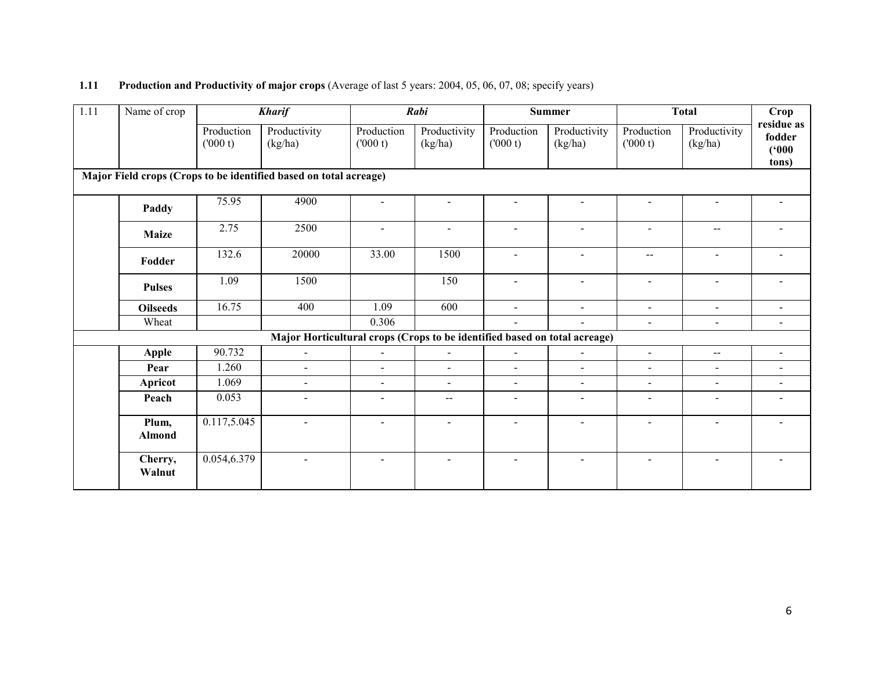# **1.11** Production and Productivity of major crops (Average of last 5 years: 2004, 05, 06, 07, 08; specify years)

| 1.11 | Name of crop           |                       | <b>Kharif</b>                                                             |                          | Rabi                     |                          | <b>Summer</b>            |                                               | <b>Total</b>             | <b>Crop</b>                            |
|------|------------------------|-----------------------|---------------------------------------------------------------------------|--------------------------|--------------------------|--------------------------|--------------------------|-----------------------------------------------|--------------------------|----------------------------------------|
|      |                        | Production<br>(000 t) | Productivity<br>(kg/ha)                                                   | Production<br>(000 t)    | Productivity<br>(kg/ha)  | Production<br>(000 t)    | Productivity<br>(kg/ha)  | Production<br>(000 t)                         | Productivity<br>(kg/ha)  | residue as<br>fodder<br>(500)<br>tons) |
|      |                        |                       | Major Field crops (Crops to be identified based on total acreage)         |                          |                          |                          |                          |                                               |                          |                                        |
|      | Paddy                  | 75.95                 | 4900                                                                      | $\overline{a}$           | $\sim$                   | $\sim$                   | $\sim$                   | $\blacksquare$                                | $\overline{a}$           |                                        |
|      | <b>Maize</b>           | 2.75                  | 2500                                                                      | $\blacksquare$           | $\blacksquare$           | $\blacksquare$           | $\blacksquare$           | $\blacksquare$                                | $- -$                    | $\blacksquare$                         |
|      | Fodder                 | 132.6                 | 20000                                                                     | 33.00                    | 1500                     | $\blacksquare$           | $\blacksquare$           | $\mathord{\hspace{1pt}\text{--}\hspace{1pt}}$ | $\blacksquare$           | $\blacksquare$                         |
|      | <b>Pulses</b>          | 1.09                  | 1500                                                                      |                          | 150                      | $\blacksquare$           | $\blacksquare$           | $\blacksquare$                                | $\blacksquare$           | $\blacksquare$                         |
|      | <b>Oilseeds</b>        | 16.75                 | 400                                                                       | 1.09                     | 600                      | $\blacksquare$           | $\blacksquare$           | $\blacksquare$                                | $\blacksquare$           | $\blacksquare$                         |
|      | Wheat                  |                       |                                                                           | 0.306                    |                          | $\blacksquare$           | $\blacksquare$           | $\blacksquare$                                | $\sim$                   | $\blacksquare$                         |
|      |                        |                       | Major Horticultural crops (Crops to be identified based on total acreage) |                          |                          |                          |                          |                                               |                          |                                        |
|      | Apple                  | 90.732                | $\sim$                                                                    | $\overline{a}$           | $\blacksquare$           | $\overline{\phantom{a}}$ | $\blacksquare$           | $\blacksquare$                                | $\overline{\phantom{a}}$ | $\blacksquare$                         |
|      | Pear                   | 1.260                 | $\blacksquare$                                                            | $\blacksquare$           | $\sim$                   | $\blacksquare$           | $\blacksquare$           | $\blacksquare$                                | $\blacksquare$           | $\sim$                                 |
|      | <b>Apricot</b>         | 1.069                 | $\blacksquare$                                                            | $\blacksquare$           | $\sim$                   | $\blacksquare$           | $\blacksquare$           | $\blacksquare$                                | $\blacksquare$           | $\blacksquare$                         |
|      | Peach                  | 0.053                 | $\blacksquare$                                                            | $\blacksquare$           | $\overline{\phantom{a}}$ | $\blacksquare$           | $\blacksquare$           | $\blacksquare$                                | $\sim$                   | $\blacksquare$                         |
|      | Plum,<br><b>Almond</b> | 0.117, 5.045          | $\blacksquare$                                                            |                          | $\overline{\phantom{a}}$ |                          | $\blacksquare$           |                                               | $\overline{\phantom{0}}$ |                                        |
|      | Cherry,<br>Walnut      | 0.054,6.379           | $\overline{\phantom{a}}$                                                  | $\overline{\phantom{a}}$ | $\overline{\phantom{a}}$ |                          | $\overline{\phantom{a}}$ | $\overline{\phantom{a}}$                      |                          |                                        |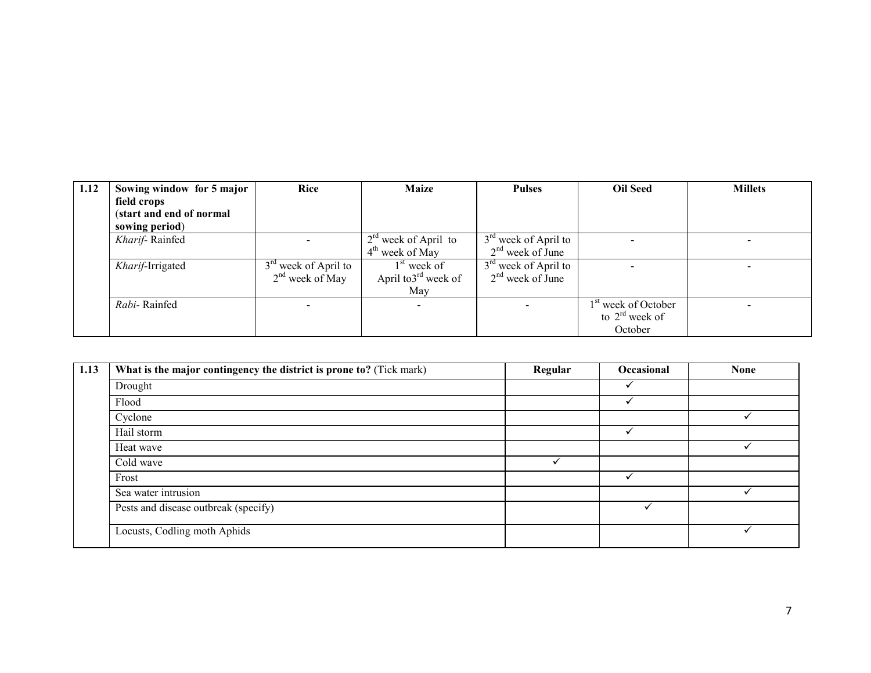| 1.12 | Sowing window for 5 major | Rice                   | <b>Maize</b>              | <b>Pulses</b>          | <b>Oil Seed</b>                 | <b>Millets</b> |
|------|---------------------------|------------------------|---------------------------|------------------------|---------------------------------|----------------|
|      | field crops               |                        |                           |                        |                                 |                |
|      | (start and end of normal  |                        |                           |                        |                                 |                |
|      | sowing period)            |                        |                           |                        |                                 |                |
|      | Kharif-Rainfed            |                        | $2^{rd}$ week of April to | $3rd$ week of April to |                                 |                |
|      |                           |                        | $4th$ week of May         | $2nd$ week of June     |                                 |                |
|      | Kharif-Irrigated          | $3rd$ week of April to | $1st$ week of             | $3rd$ week of April to |                                 |                |
|      |                           | $2nd$ week of May      | April to $3^{rd}$ week of | $2nd$ week of June     |                                 |                |
|      |                           |                        | May                       |                        |                                 |                |
|      | Rabi-Rainfed              |                        |                           |                        | 1 <sup>st</sup> week of October |                |
|      |                           |                        |                           |                        | to $2^{\text{rd}}$ week of      |                |
|      |                           |                        |                           |                        | October                         |                |

| 1.13 | What is the major contingency the district is prone to? (Tick mark) | Regular | Occasional | <b>None</b> |
|------|---------------------------------------------------------------------|---------|------------|-------------|
|      | Drought                                                             |         |            |             |
|      | Flood                                                               |         |            |             |
|      | Cyclone                                                             |         |            |             |
|      | Hail storm                                                          |         |            |             |
|      | Heat wave                                                           |         |            |             |
|      | Cold wave                                                           |         |            |             |
|      | Frost                                                               |         |            |             |
|      | Sea water intrusion                                                 |         |            |             |
|      | Pests and disease outbreak (specify)                                |         |            |             |
|      | Locusts, Codling moth Aphids                                        |         |            |             |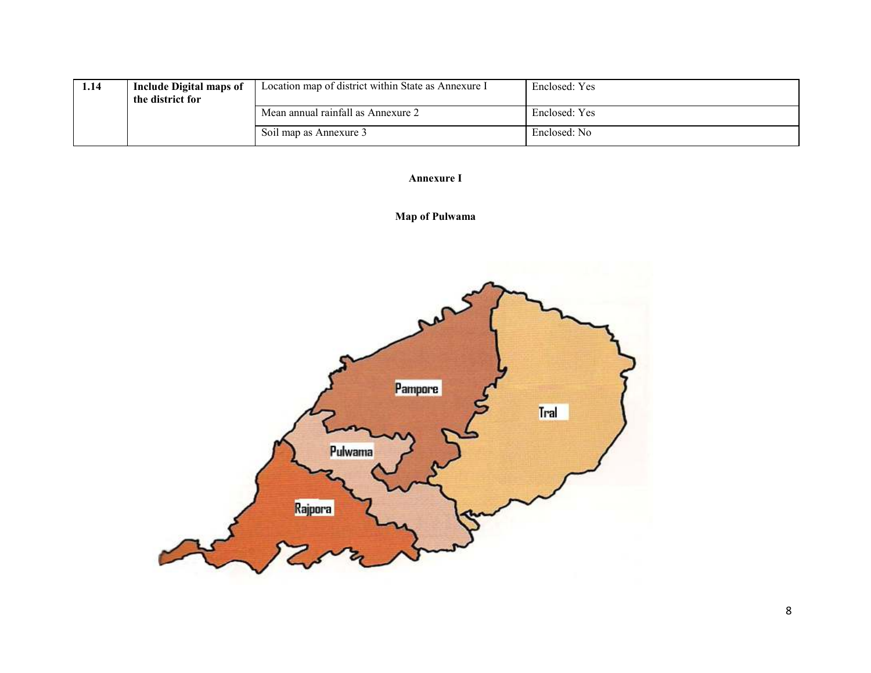| 1.14 | Include Digital maps of<br>the district for | Location map of district within State as Annexure I | Enclosed: Yes |
|------|---------------------------------------------|-----------------------------------------------------|---------------|
|      |                                             | Mean annual rainfall as Annexure 2                  | Enclosed: Yes |
|      |                                             | Soil map as Annexure 3                              | Enclosed: No  |

Annexure I



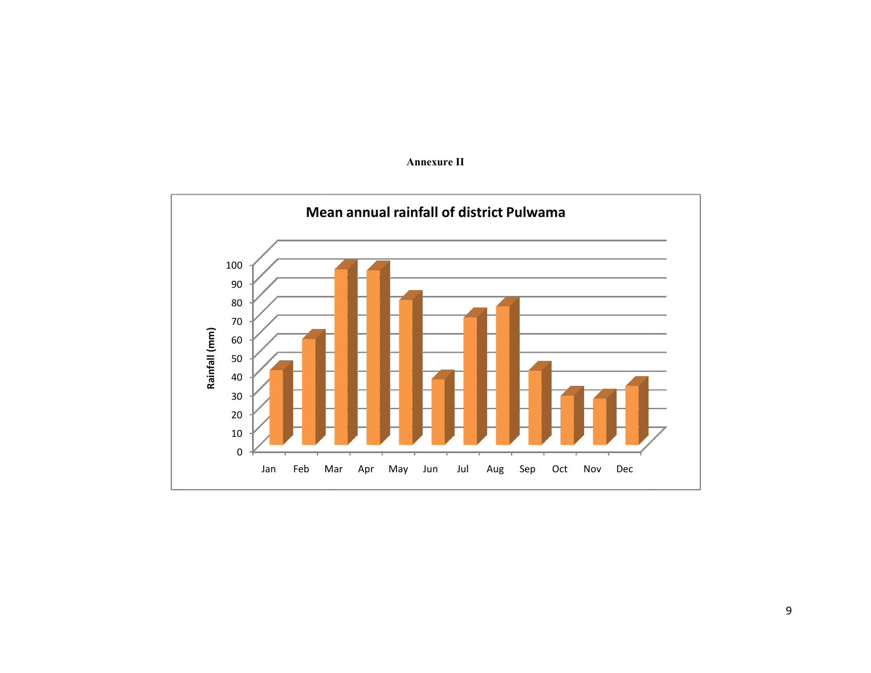

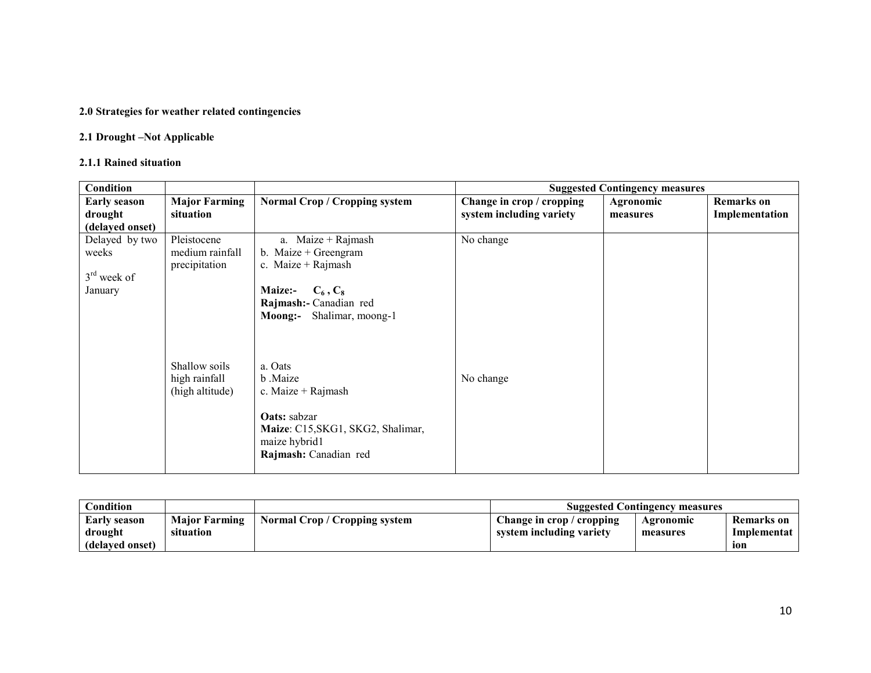# 2.0 Strategies for weather related contingencies

# 2.1 Drought –Not Applicable

### 2.1.1 Rained situation

| Condition                                           |                                                   |                                                                                                                                                           |                                                       | <b>Suggested Contingency measures</b> |                              |
|-----------------------------------------------------|---------------------------------------------------|-----------------------------------------------------------------------------------------------------------------------------------------------------------|-------------------------------------------------------|---------------------------------------|------------------------------|
| <b>Early season</b><br>drought<br>(delayed onset)   | <b>Major Farming</b><br>situation                 | <b>Normal Crop / Cropping system</b>                                                                                                                      | Change in crop / cropping<br>system including variety | Agronomic<br>measures                 | Remarks on<br>Implementation |
| Delayed by two<br>weeks<br>$3rd$ week of<br>January | Pleistocene<br>medium rainfall<br>precipitation   | a. Maize + Rajmash<br>b. Maize $+$ Greengram<br>c. Maize + Rajmash<br>$C_6, C_8$<br><b>Maize:-</b><br>Rajmash:- Canadian red<br>Moong:- Shalimar, moong-1 | No change                                             |                                       |                              |
|                                                     | Shallow soils<br>high rainfall<br>(high altitude) | a. Oats<br>b Maize<br>c. Maize + Rajmash<br>Oats: sabzar<br>Maize: C15, SKG1, SKG2, Shalimar,<br>maize hybrid1<br>Rajmash: Canadian red                   | No change                                             |                                       |                              |

| $\cap$ ondition     |                      |                                      | <b>Suggested Contingency measures</b> |           |             |
|---------------------|----------------------|--------------------------------------|---------------------------------------|-----------|-------------|
| <b>Early season</b> | <b>Major Farming</b> | <b>Normal Crop / Cropping system</b> | Change in crop / cropping             | Agronomic | Remarks on  |
| drought             | situation            |                                      | system including variety              | measures  | Implementat |
| (delayed onset)     |                      |                                      |                                       |           | ion         |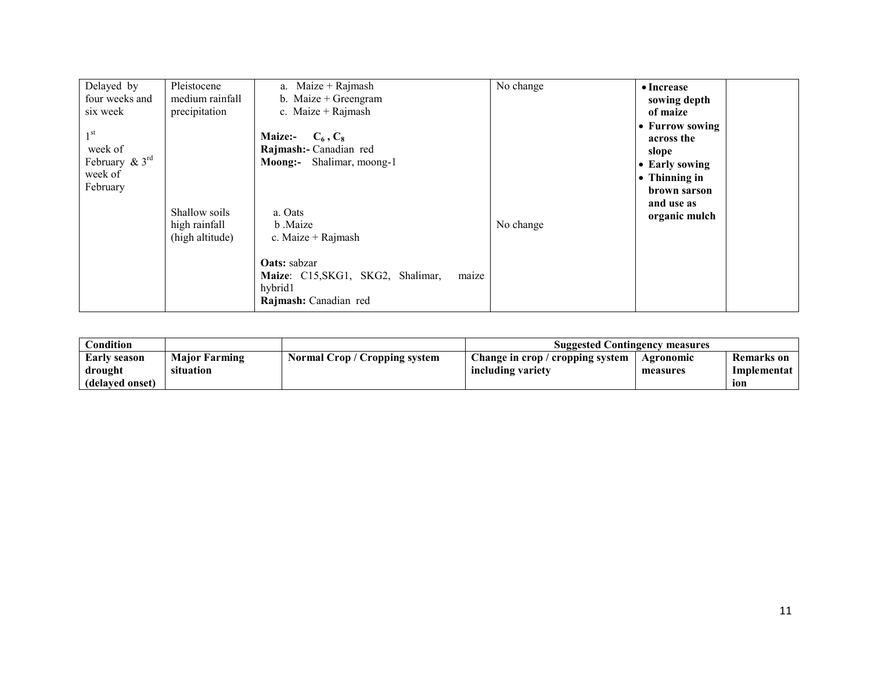| Delayed by                                                                                  | Pleistocene                                                        | a. Maize + Rajmash                                                                                                                                                                                                                                                | No change | $\bullet$ Increase                                                                                                                   |
|---------------------------------------------------------------------------------------------|--------------------------------------------------------------------|-------------------------------------------------------------------------------------------------------------------------------------------------------------------------------------------------------------------------------------------------------------------|-----------|--------------------------------------------------------------------------------------------------------------------------------------|
| four weeks and                                                                              | medium rainfall                                                    | b. Maize $+$ Greengram                                                                                                                                                                                                                                            |           | sowing depth                                                                                                                         |
| six week<br>1 <sup>st</sup><br>week of<br>February & $3^{\text{rd}}$<br>week of<br>February | precipitation<br>Shallow soils<br>high rainfall<br>(high altitude) | c. Maize + Rajmash<br><b>Maize:-</b><br>$C_6, C_8$<br>Rajmash:- Canadian red<br>Moong:- Shalimar, moong-1<br>a. Oats<br>b .Maize<br>c. Maize $+$ Rajmash<br><b>Oats:</b> sabzar<br>Maize: C15, SKG1, SKG2, Shalimar,<br>maize<br>hybrid1<br>Rajmash: Canadian red | No change | of maize<br>• Furrow sowing<br>across the<br>slope<br>• Early sowing<br>• Thinning in<br>brown sarson<br>and use as<br>organic mulch |

| Condition           |                      |                               | <b>Suggested Contingency measures</b> |           |                   |
|---------------------|----------------------|-------------------------------|---------------------------------------|-----------|-------------------|
| <b>Early season</b> | <b>Major Farming</b> | Normal Crop / Cropping system | Change in crop / cropping system      | Agronomic | <b>Remarks</b> on |
| drought             | situation            |                               | including variety                     | measures  | Implementat       |
| (delayed onset)     |                      |                               |                                       |           | ion               |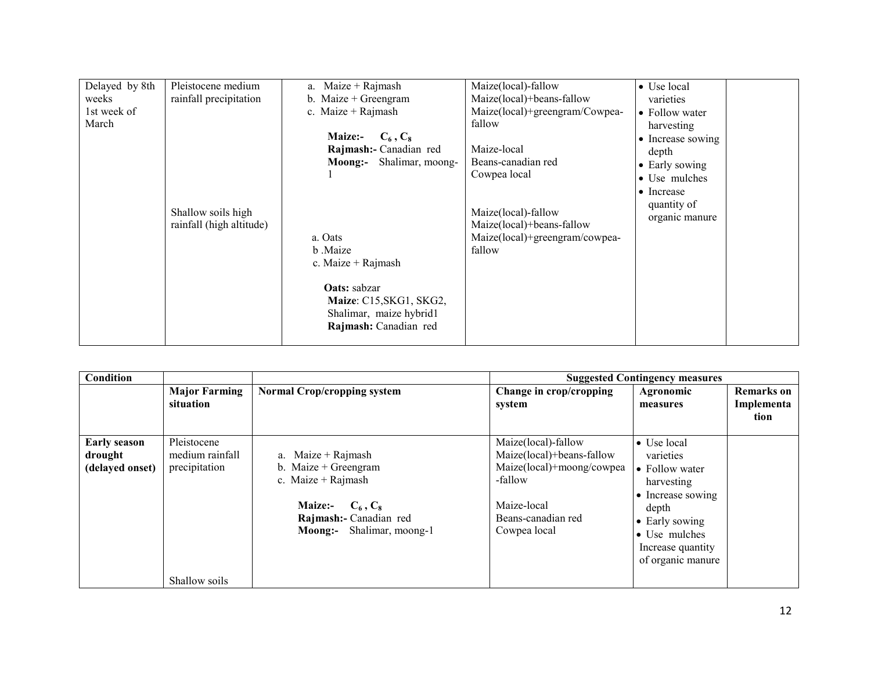| Delayed by 8th<br>weeks<br>1st week of<br>March | Pleistocene medium<br>rainfall precipitation   | $Maize + Rajmash$<br>a.<br>b. Maize $+$ Greengram<br>c. Maize + Rajmash<br>Maize:-<br>$C_6, C_8$<br>Rajmash:- Canadian red<br>Moong:- Shalimar, moong- | Maize(local)-fallow<br>Maize(local)+beans-fallow<br>Maize(local)+greengram/Cowpea-<br>fallow<br>Maize-local<br>Beans-canadian red | • Use local<br>varieties<br>• Follow water<br>harvesting<br>• Increase sowing<br>depth<br>• Early sowing |
|-------------------------------------------------|------------------------------------------------|--------------------------------------------------------------------------------------------------------------------------------------------------------|-----------------------------------------------------------------------------------------------------------------------------------|----------------------------------------------------------------------------------------------------------|
|                                                 | Shallow soils high<br>rainfall (high altitude) | a. Oats<br>b Maize<br>c. Maize $+$ Rajmash<br>Oats: sabzar<br>Maize: C15, SKG1, SKG2,<br>Shalimar, maize hybrid1<br>Rajmash: Canadian red              | Cowpea local<br>Maize(local)-fallow<br>Maize(local)+beans-fallow<br>Maize(local)+greengram/cowpea-<br>fallow                      | • Use mulches<br>• Increase<br>quantity of<br>organic manure                                             |

| Condition                                         |                                                                  |                                                                                                                                                 |                                                                                                                                               | <b>Suggested Contingency measures</b>                                                                                                                               |                                         |
|---------------------------------------------------|------------------------------------------------------------------|-------------------------------------------------------------------------------------------------------------------------------------------------|-----------------------------------------------------------------------------------------------------------------------------------------------|---------------------------------------------------------------------------------------------------------------------------------------------------------------------|-----------------------------------------|
|                                                   | <b>Major Farming</b><br>situation                                | <b>Normal Crop/cropping system</b>                                                                                                              | Change in crop/cropping<br>system                                                                                                             | Agronomic<br>measures                                                                                                                                               | <b>Remarks</b> on<br>Implementa<br>tion |
| <b>Early season</b><br>drought<br>(delayed onset) | Pleistocene<br>medium rainfall<br>precipitation<br>Shallow soils | a. Maize + Rajmash<br>b. Maize $+$ Greengram<br>c. Maize + Rajmash<br>Maize:- $C_6, C_8$<br>Rajmash:- Canadian red<br>Moong:- Shalimar, moong-1 | Maize(local)-fallow<br>Maize(local)+beans-fallow<br>Maize(local)+moong/cowpea<br>-fallow<br>Maize-local<br>Beans-canadian red<br>Cowpea local | • Use local<br>varieties<br>• Follow water<br>harvesting<br>• Increase sowing<br>depth<br>• Early sowing<br>• Use mulches<br>Increase quantity<br>of organic manure |                                         |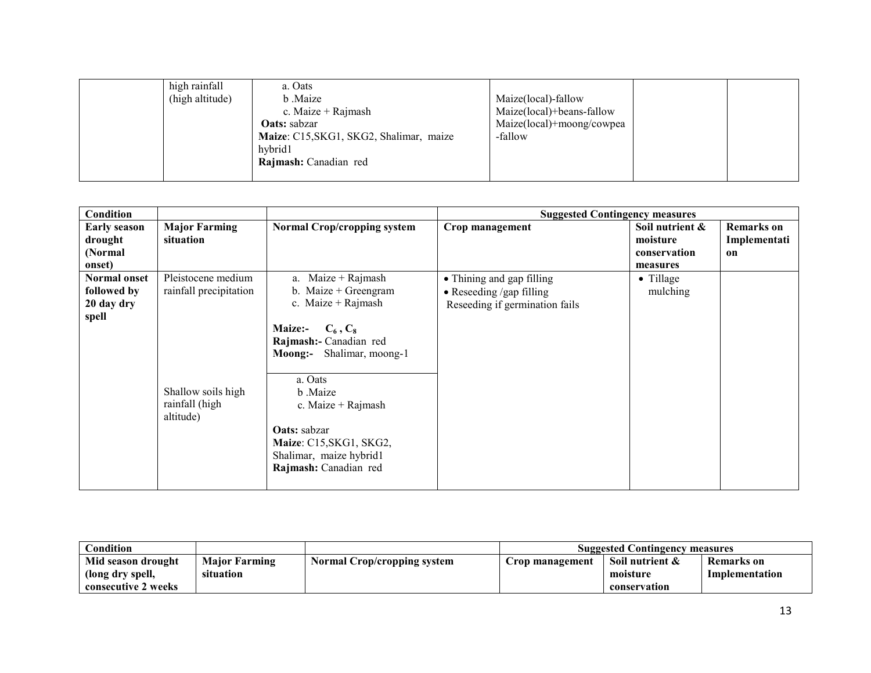| high rainfall   | a. Oats                                 |                           |  |
|-----------------|-----------------------------------------|---------------------------|--|
| (high altitude) | b Maize                                 | Maize(local)-fallow       |  |
|                 | c. Maize $+$ Rajmash                    | Maize(local)+beans-fallow |  |
|                 | <b>Oats:</b> sabzar                     | Maize(local)+moong/cowpea |  |
|                 | Maize: C15, SKG1, SKG2, Shalimar, maize | -fallow                   |  |
|                 | hybrid1                                 |                           |  |
|                 | Rajmash: Canadian red                   |                           |  |
|                 |                                         |                           |  |

| Condition                                                 |                                                                                                   |                                                                                                                                                                                                                                                                                                                | <b>Suggested Contingency measures</b>                                                           |                                                         |                                                    |
|-----------------------------------------------------------|---------------------------------------------------------------------------------------------------|----------------------------------------------------------------------------------------------------------------------------------------------------------------------------------------------------------------------------------------------------------------------------------------------------------------|-------------------------------------------------------------------------------------------------|---------------------------------------------------------|----------------------------------------------------|
| <b>Early season</b><br>drought<br>(Normal<br>onset)       | <b>Major Farming</b><br>situation                                                                 | <b>Normal Crop/cropping system</b>                                                                                                                                                                                                                                                                             | Crop management                                                                                 | Soil nutrient &<br>moisture<br>conservation<br>measures | <b>Remarks</b> on<br>Implementati<br><sub>on</sub> |
| <b>Normal onset</b><br>followed by<br>20 day dry<br>spell | Pleistocene medium<br>rainfall precipitation<br>Shallow soils high<br>rainfall (high<br>altitude) | a. Maize + Rajmash<br>b. Maize $+$ Greengram<br>c. Maize $+$ Rajmash<br><b>Maize:-</b><br>$C_6, C_8$<br>Rajmash:- Canadian red<br>Moong:- Shalimar, moong-1<br>a. Oats<br>b .Maize<br>c. Maize + Rajmash<br><b>Oats:</b> sabzar<br>Maize: C15, SKG1, SKG2,<br>Shalimar, maize hybrid1<br>Rajmash: Canadian red | • Thining and gap filling<br>$\bullet$ Reseeding /gap filling<br>Reseeding if germination fails | • Tillage<br>mulching                                   |                                                    |

| Condition                              |                                   |                             |                 | <b>Suggested Contingency measures</b> |                              |
|----------------------------------------|-----------------------------------|-----------------------------|-----------------|---------------------------------------|------------------------------|
| Mid season drought<br>(long dry spell, | <b>Major Farming</b><br>situation | Normal Crop/cropping system | Crop management | Soil nutrient &<br>moisture           | Remarks on<br>Implementation |
| consecutive 2 weeks                    |                                   |                             |                 | conservation                          |                              |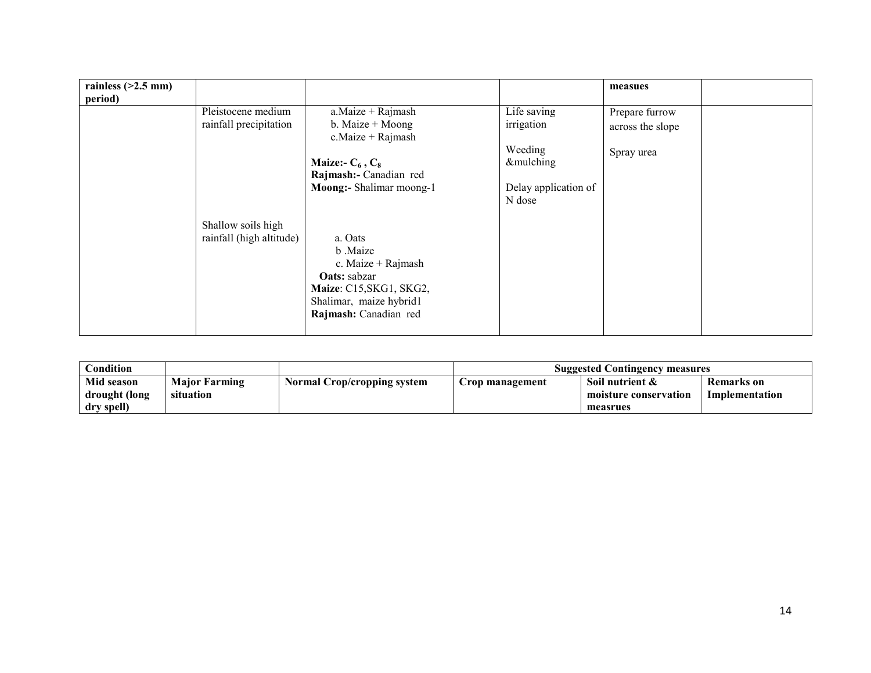| rainless $(>2.5$ mm)<br>period) |                                                |                                                                                                                                                   |                      | measues          |
|---------------------------------|------------------------------------------------|---------------------------------------------------------------------------------------------------------------------------------------------------|----------------------|------------------|
|                                 | Pleistocene medium                             | $a.Maize + Rajmash$                                                                                                                               | Life saving          | Prepare furrow   |
|                                 | rainfall precipitation                         | b. Maize $+$ Moong                                                                                                                                | irrigation           | across the slope |
|                                 |                                                | $c$ . Maize + Rajmash                                                                                                                             |                      |                  |
|                                 |                                                |                                                                                                                                                   | Weeding              | Spray urea       |
|                                 |                                                | Maize:- $C_6$ , $C_8$                                                                                                                             | &mulching            |                  |
|                                 |                                                | Rajmash:- Canadian red                                                                                                                            |                      |                  |
|                                 |                                                | Moong:- Shalimar moong-1                                                                                                                          | Delay application of |                  |
|                                 |                                                |                                                                                                                                                   | N dose               |                  |
|                                 | Shallow soils high<br>rainfall (high altitude) | a. Oats<br>b .Maize<br>c. Maize $+$ Rajmash<br><b>Oats:</b> sabzar<br>Maize: C15, SKG1, SKG2,<br>Shalimar, maize hybrid1<br>Rajmash: Canadian red |                      |                  |

| $\cap$ ondition |                      |                             | <b>Suggested Contingency measures</b> |                       |                |
|-----------------|----------------------|-----------------------------|---------------------------------------|-----------------------|----------------|
| Mid season      | <b>Major Farming</b> | Normal Crop/cropping system | Crop management                       | Soil nutrient &       | Remarks on     |
| drought (long   | situation            |                             |                                       | moisture conservation | Implementation |
| dry spell)      |                      |                             |                                       | measrues              |                |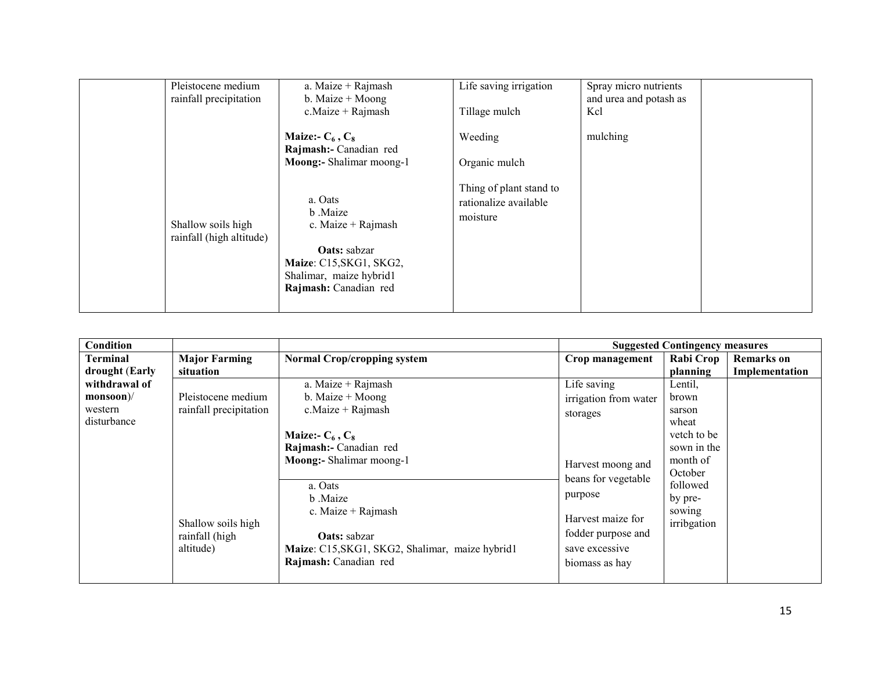| Pleistocene medium<br>rainfall precipitation   | a. Maize + Rajmash<br>b. Maize $+$ Moong<br>$c$ . Maize + Rajmash                                                                         | Life saving irrigation<br>Tillage mulch                      | Spray micro nutrients<br>and urea and potash as<br>Kcl |  |
|------------------------------------------------|-------------------------------------------------------------------------------------------------------------------------------------------|--------------------------------------------------------------|--------------------------------------------------------|--|
|                                                | Maize:- $C_6$ , $C_8$<br>Rajmash:- Canadian red<br><b>Moong:-</b> Shalimar moong-1                                                        | Weeding<br>Organic mulch                                     | mulching                                               |  |
| Shallow soils high<br>rainfall (high altitude) | a. Oats<br>b Maize<br>c. Maize $+$ Rajmash<br>Oats: sabzar<br>Maize: C15, SKG1, SKG2,<br>Shalimar, maize hybrid1<br>Rajmash: Canadian red | Thing of plant stand to<br>rationalize available<br>moisture |                                                        |  |

| Condition      |                        |                                                 |                       | <b>Suggested Contingency measures</b> |                   |
|----------------|------------------------|-------------------------------------------------|-----------------------|---------------------------------------|-------------------|
| Terminal       | <b>Major Farming</b>   | <b>Normal Crop/cropping system</b>              | Crop management       | Rabi Crop                             | <b>Remarks</b> on |
| drought (Early | situation              |                                                 |                       | planning                              | Implementation    |
| withdrawal of  |                        | a. Maize + Rajmash                              | Life saving           | Lentil,                               |                   |
| $monsoon$      | Pleistocene medium     | b. Maize $+$ Moong                              | irrigation from water | brown                                 |                   |
| western        | rainfall precipitation | $c$ . Maize + Rajmash                           | storages              | sarson                                |                   |
| disturbance    |                        |                                                 |                       | wheat                                 |                   |
|                |                        | Maize:- $C_6$ , $C_8$                           |                       | vetch to be                           |                   |
|                |                        | Rajmash:- Canadian red                          |                       | sown in the                           |                   |
|                |                        | Moong:- Shalimar moong-1                        | Harvest moong and     | month of                              |                   |
|                |                        |                                                 | beans for vegetable   | October                               |                   |
|                |                        | a. Oats                                         | purpose               | followed                              |                   |
|                |                        | b Maize                                         |                       | by pre-                               |                   |
|                |                        | c. Maize $+$ Rajmash                            | Harvest maize for     | sowing                                |                   |
|                | Shallow soils high     |                                                 | fodder purpose and    | irribgation                           |                   |
|                | rainfall (high         | <b>Oats:</b> sabzar                             |                       |                                       |                   |
|                | altitude)              | Maize: C15, SKG1, SKG2, Shalimar, maize hybrid1 | save excessive        |                                       |                   |
|                |                        | Rajmash: Canadian red                           | biomass as hay        |                                       |                   |
|                |                        |                                                 |                       |                                       |                   |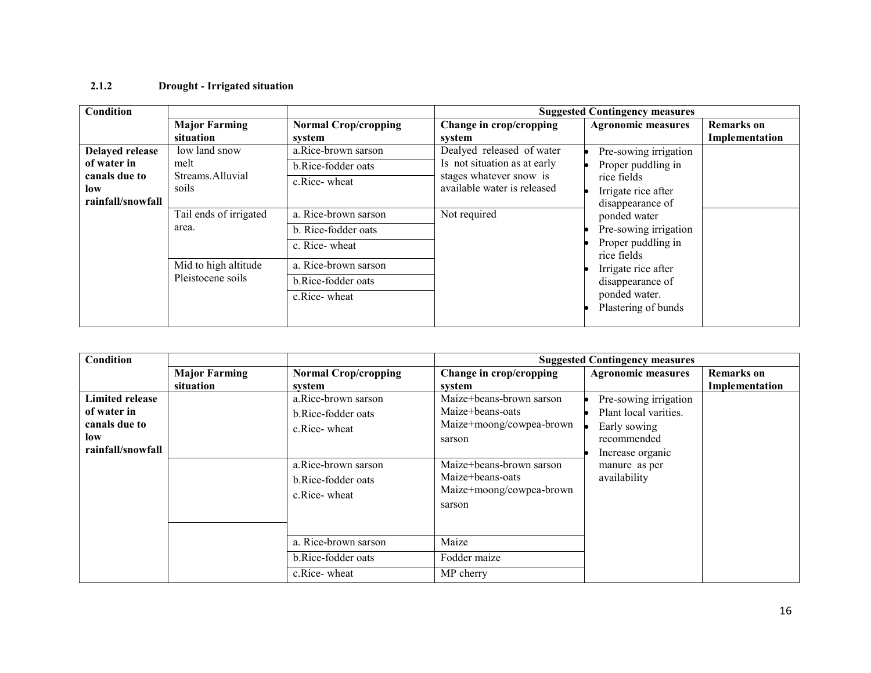#### 2.1.2 Drought - Irrigated situation

| Condition              |                        |                             |                              | <b>Suggested Contingency measures</b> |                   |
|------------------------|------------------------|-----------------------------|------------------------------|---------------------------------------|-------------------|
|                        | <b>Major Farming</b>   | <b>Normal Crop/cropping</b> | Change in crop/cropping      | <b>Agronomic measures</b>             | <b>Remarks</b> on |
|                        | situation              | system                      | system                       |                                       | Implementation    |
| <b>Delayed release</b> | low land snow          | a.Rice-brown sarson         | Dealyed released of water    | Pre-sowing irrigation                 |                   |
| of water in            | melt                   | b.Rice-fodder oats          | Is not situation as at early | Proper puddling in                    |                   |
| canals due to          | Streams.Alluvial       | c.Rice-wheat                | stages whatever snow is      | rice fields                           |                   |
| low                    | soils                  |                             | available water is released  | Irrigate rice after                   |                   |
| rainfall/snowfall      |                        |                             |                              | disappearance of                      |                   |
|                        | Tail ends of irrigated | a. Rice-brown sarson        | Not required                 | ponded water                          |                   |
|                        | area.                  | b. Rice-fodder oats         |                              | Pre-sowing irrigation                 |                   |
|                        |                        | c. Rice-wheat               |                              | Proper puddling in                    |                   |
|                        | Mid to high altitude   | a. Rice-brown sarson        |                              | rice fields                           |                   |
|                        | Pleistocene soils      |                             |                              | Irrigate rice after                   |                   |
|                        |                        | b.Rice-fodder oats          |                              | disappearance of                      |                   |
|                        |                        | c.Rice-wheat                |                              | ponded water.<br>Plastering of bunds  |                   |

| Condition                                                                          |                                   |                                                                                                                                  |                                                                                                                                                                                    | <b>Suggested Contingency measures</b>                                                                                              |                                     |
|------------------------------------------------------------------------------------|-----------------------------------|----------------------------------------------------------------------------------------------------------------------------------|------------------------------------------------------------------------------------------------------------------------------------------------------------------------------------|------------------------------------------------------------------------------------------------------------------------------------|-------------------------------------|
|                                                                                    | <b>Major Farming</b><br>situation | <b>Normal Crop/cropping</b>                                                                                                      | Change in crop/cropping                                                                                                                                                            | <b>Agronomic measures</b>                                                                                                          | <b>Remarks</b> on<br>Implementation |
| <b>Limited release</b><br>of water in<br>canals due to<br>low<br>rainfall/snowfall |                                   | system<br>a.Rice-brown sarson<br>b.Rice-fodder oats<br>c.Rice-wheat<br>a.Rice-brown sarson<br>b.Rice-fodder oats<br>c.Rice-wheat | system<br>Maize+beans-brown sarson<br>Maize+beans-oats<br>Maize+moong/cowpea-brown<br>sarson<br>Maize+beans-brown sarson<br>Maize+beans-oats<br>Maize+moong/cowpea-brown<br>sarson | Pre-sowing irrigation<br>Plant local varities.<br>Early sowing<br>recommended<br>Increase organic<br>manure as per<br>availability |                                     |
|                                                                                    |                                   | a. Rice-brown sarson                                                                                                             | Maize                                                                                                                                                                              |                                                                                                                                    |                                     |
|                                                                                    |                                   | b.Rice-fodder oats                                                                                                               | Fodder maize                                                                                                                                                                       |                                                                                                                                    |                                     |
|                                                                                    |                                   | c.Rice-wheat                                                                                                                     | MP cherry                                                                                                                                                                          |                                                                                                                                    |                                     |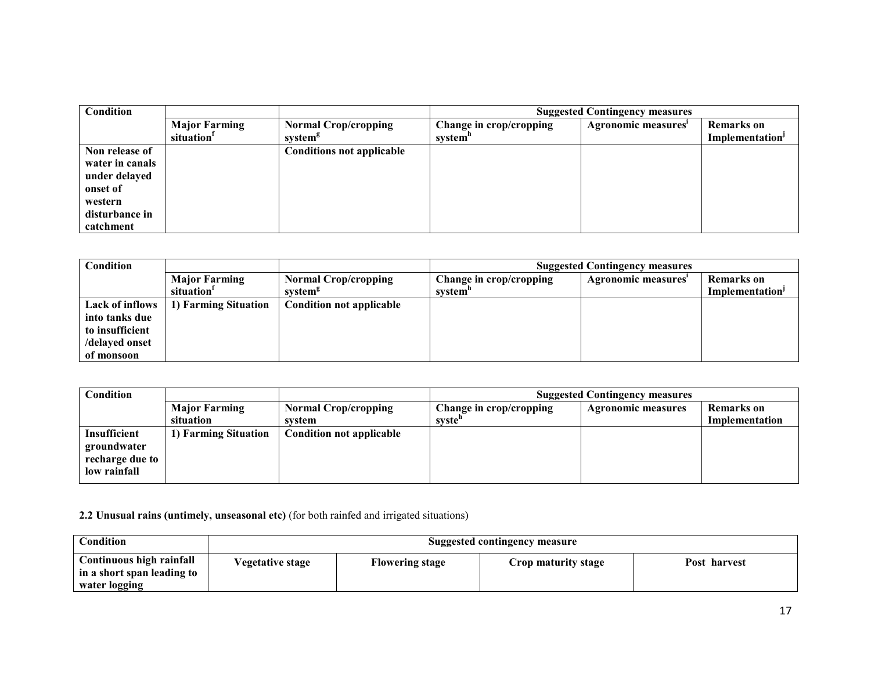| Condition       |                        |                                  |                         | <b>Suggested Contingency measures</b> |                             |
|-----------------|------------------------|----------------------------------|-------------------------|---------------------------------------|-----------------------------|
|                 | <b>Major Farming</b>   | <b>Normal Crop/cropping</b>      | Change in crop/cropping | Agronomic measures'                   | <b>Remarks</b> on           |
|                 | situation <sup>1</sup> | system <sup>g</sup>              | system <sup>"</sup>     |                                       | Implementation <sup>J</sup> |
| Non release of  |                        | <b>Conditions not applicable</b> |                         |                                       |                             |
| water in canals |                        |                                  |                         |                                       |                             |
| under delayed   |                        |                                  |                         |                                       |                             |
| onset of        |                        |                                  |                         |                                       |                             |
| western         |                        |                                  |                         |                                       |                             |
| disturbance in  |                        |                                  |                         |                                       |                             |
| catchment       |                        |                                  |                         |                                       |                             |

| <b>Condition</b> |                      |                                 | <b>Suggested Contingency measures</b> |                    |                             |
|------------------|----------------------|---------------------------------|---------------------------------------|--------------------|-----------------------------|
|                  | <b>Major Farming</b> | <b>Normal Crop/cropping</b>     | Change in crop/cropping               | Agronomic measures | <b>Remarks</b> on           |
|                  | situation            | system <sup>g</sup>             | system"                               |                    | Implementation <sup>J</sup> |
| Lack of inflows  | 1) Farming Situation | <b>Condition not applicable</b> |                                       |                    |                             |
| into tanks due   |                      |                                 |                                       |                    |                             |
| to insufficient  |                      |                                 |                                       |                    |                             |
| /delayed onset   |                      |                                 |                                       |                    |                             |
| of monsoon       |                      |                                 |                                       |                    |                             |

| Condition       |                      |                                 | <b>Suggested Contingency measures</b> |                           |                   |
|-----------------|----------------------|---------------------------------|---------------------------------------|---------------------------|-------------------|
|                 | <b>Major Farming</b> | <b>Normal Crop/cropping</b>     | Change in crop/cropping               | <b>Agronomic measures</b> | <b>Remarks</b> on |
|                 | situation            | svstem                          | syste"                                |                           | Implementation    |
| Insufficient    | 1) Farming Situation | <b>Condition not applicable</b> |                                       |                           |                   |
| groundwater     |                      |                                 |                                       |                           |                   |
| recharge due to |                      |                                 |                                       |                           |                   |
| low rainfall    |                      |                                 |                                       |                           |                   |

2.2 Unusual rains (untimely, unseasonal etc) (for both rainfed and irrigated situations)

| <b>Condition</b>                                                        | Suggested contingency measure |                        |                     |              |  |  |
|-------------------------------------------------------------------------|-------------------------------|------------------------|---------------------|--------------|--|--|
| Continuous high rainfall<br>in a short span leading to<br>water logging | Vegetative stage              | <b>Flowering stage</b> | Crop maturity stage | Post harvest |  |  |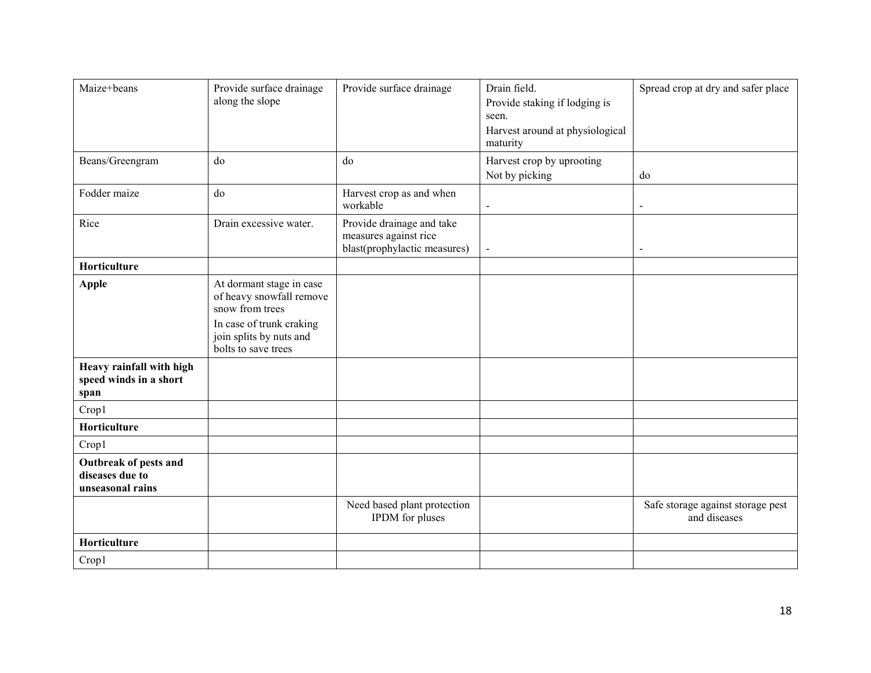| Maize+beans                                                  | Provide surface drainage<br>along the slope                                                                                                           | Provide surface drainage                                                           | Drain field.<br>Provide staking if lodging is<br>seen. | Spread crop at dry and safer place                |
|--------------------------------------------------------------|-------------------------------------------------------------------------------------------------------------------------------------------------------|------------------------------------------------------------------------------------|--------------------------------------------------------|---------------------------------------------------|
|                                                              |                                                                                                                                                       |                                                                                    | Harvest around at physiological<br>maturity            |                                                   |
| Beans/Greengram                                              | do                                                                                                                                                    | do                                                                                 | Harvest crop by uprooting<br>Not by picking            | do                                                |
| Fodder maize                                                 | do                                                                                                                                                    | Harvest crop as and when<br>workable                                               | $\mathbf{r}$                                           | $\blacksquare$                                    |
| Rice                                                         | Drain excessive water.                                                                                                                                | Provide drainage and take<br>measures against rice<br>blast(prophylactic measures) | $\blacksquare$                                         | $\overline{\phantom{a}}$                          |
| Horticulture                                                 |                                                                                                                                                       |                                                                                    |                                                        |                                                   |
| <b>Apple</b>                                                 | At dormant stage in case<br>of heavy snowfall remove<br>snow from trees<br>In case of trunk craking<br>join splits by nuts and<br>bolts to save trees |                                                                                    |                                                        |                                                   |
| Heavy rainfall with high<br>speed winds in a short<br>span   |                                                                                                                                                       |                                                                                    |                                                        |                                                   |
| Crop1                                                        |                                                                                                                                                       |                                                                                    |                                                        |                                                   |
| Horticulture                                                 |                                                                                                                                                       |                                                                                    |                                                        |                                                   |
| Crop1                                                        |                                                                                                                                                       |                                                                                    |                                                        |                                                   |
| Outbreak of pests and<br>diseases due to<br>unseasonal rains |                                                                                                                                                       |                                                                                    |                                                        |                                                   |
|                                                              |                                                                                                                                                       | Need based plant protection<br>IPDM for pluses                                     |                                                        | Safe storage against storage pest<br>and diseases |
| Horticulture                                                 |                                                                                                                                                       |                                                                                    |                                                        |                                                   |
| Crop1                                                        |                                                                                                                                                       |                                                                                    |                                                        |                                                   |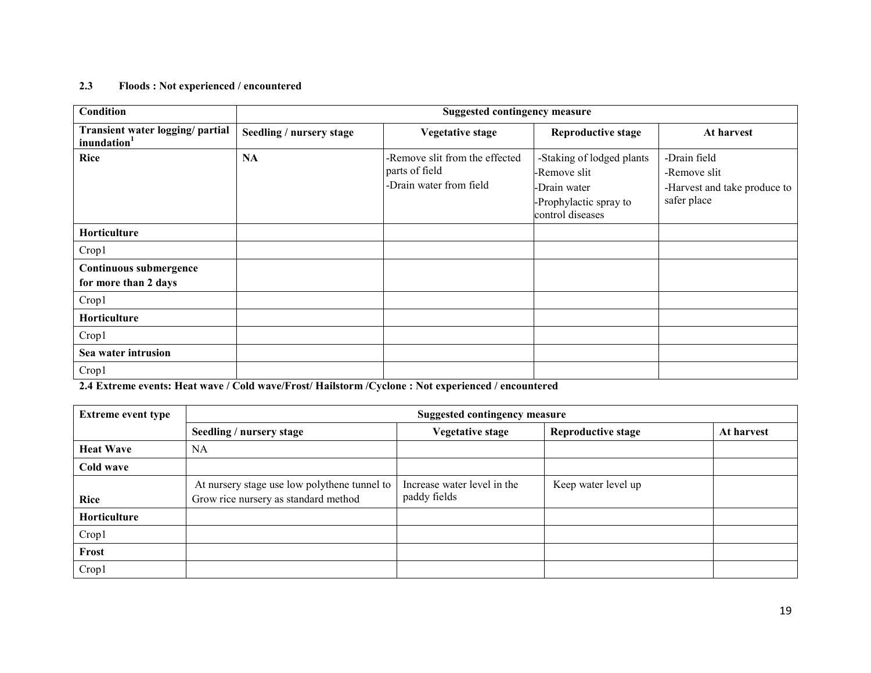### 2.3 Floods : Not experienced / encountered

| <b>Condition</b>                                            | <b>Suggested contingency measure</b> |                                                                             |                                                                                                         |                                                                             |
|-------------------------------------------------------------|--------------------------------------|-----------------------------------------------------------------------------|---------------------------------------------------------------------------------------------------------|-----------------------------------------------------------------------------|
| Transient water logging/ partial<br>inundation <sup>1</sup> | Seedling / nursery stage             | <b>Vegetative stage</b>                                                     | <b>Reproductive stage</b>                                                                               | At harvest                                                                  |
| Rice                                                        | <b>NA</b>                            | -Remove slit from the effected<br>parts of field<br>-Drain water from field | -Staking of lodged plants<br>-Remove slit<br>-Drain water<br>-Prophylactic spray to<br>control diseases | -Drain field<br>-Remove slit<br>-Harvest and take produce to<br>safer place |
| Horticulture                                                |                                      |                                                                             |                                                                                                         |                                                                             |
| Crop1                                                       |                                      |                                                                             |                                                                                                         |                                                                             |
| Continuous submergence<br>for more than 2 days              |                                      |                                                                             |                                                                                                         |                                                                             |
| Crop1                                                       |                                      |                                                                             |                                                                                                         |                                                                             |
| Horticulture                                                |                                      |                                                                             |                                                                                                         |                                                                             |
| Crop1                                                       |                                      |                                                                             |                                                                                                         |                                                                             |
| Sea water intrusion                                         |                                      |                                                                             |                                                                                                         |                                                                             |
| Crop1                                                       |                                      |                                                                             |                                                                                                         |                                                                             |

2.4 Extreme events: Heat wave / Cold wave/Frost/ Hailstorm /Cyclone : Not experienced / encountered

| <b>Extreme event type</b> | <b>Suggested contingency measure</b>                                                 |                                             |                           |            |  |
|---------------------------|--------------------------------------------------------------------------------------|---------------------------------------------|---------------------------|------------|--|
|                           | Seedling / nursery stage                                                             | <b>Vegetative stage</b>                     | <b>Reproductive stage</b> | At harvest |  |
| <b>Heat Wave</b>          | <b>NA</b>                                                                            |                                             |                           |            |  |
| Cold wave                 |                                                                                      |                                             |                           |            |  |
| <b>Rice</b>               | At nursery stage use low polythene tunnel to<br>Grow rice nursery as standard method | Increase water level in the<br>paddy fields | Keep water level up       |            |  |
| Horticulture              |                                                                                      |                                             |                           |            |  |
| Crop1                     |                                                                                      |                                             |                           |            |  |
| Frost                     |                                                                                      |                                             |                           |            |  |
| Crop1                     |                                                                                      |                                             |                           |            |  |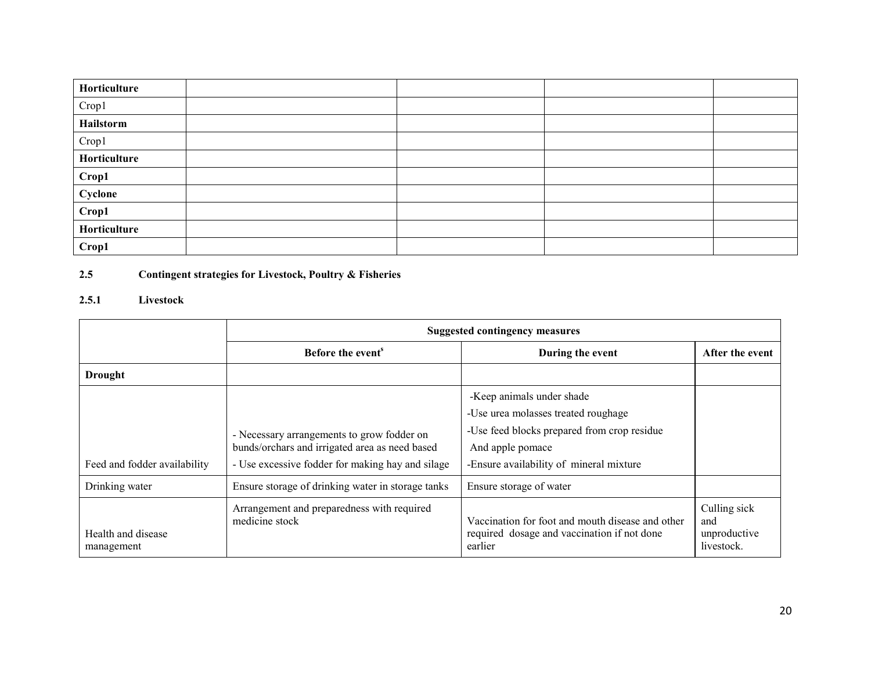| Horticulture |  |  |
|--------------|--|--|
| Crop1        |  |  |
| Hailstorm    |  |  |
| Crop1        |  |  |
| Horticulture |  |  |
| Crop1        |  |  |
| Cyclone      |  |  |
| Crop1        |  |  |
| Horticulture |  |  |
| Crop1        |  |  |

#### 2.5Contingent strategies for Livestock, Poultry & Fisheries

# 2.5.1 Livestock

|                                  | <b>Suggested contingency measures</b>                                                                                                            |                                                                                                                                                                                |                                                   |  |
|----------------------------------|--------------------------------------------------------------------------------------------------------------------------------------------------|--------------------------------------------------------------------------------------------------------------------------------------------------------------------------------|---------------------------------------------------|--|
|                                  | Before the event <sup>s</sup>                                                                                                                    | During the event                                                                                                                                                               | After the event                                   |  |
| <b>Drought</b>                   |                                                                                                                                                  |                                                                                                                                                                                |                                                   |  |
| Feed and fodder availability     | - Necessary arrangements to grow fodder on<br>bunds/orchars and irrigated area as need based<br>- Use excessive fodder for making hay and silage | -Keep animals under shade<br>-Use urea molasses treated roughage<br>-Use feed blocks prepared from crop residue<br>And apple pomace<br>-Ensure availability of mineral mixture |                                                   |  |
| Drinking water                   | Ensure storage of drinking water in storage tanks                                                                                                | Ensure storage of water                                                                                                                                                        |                                                   |  |
| Health and disease<br>management | Arrangement and preparedness with required<br>medicine stock                                                                                     | Vaccination for foot and mouth disease and other<br>required dosage and vaccination if not done<br>earlier                                                                     | Culling sick<br>and<br>unproductive<br>livestock. |  |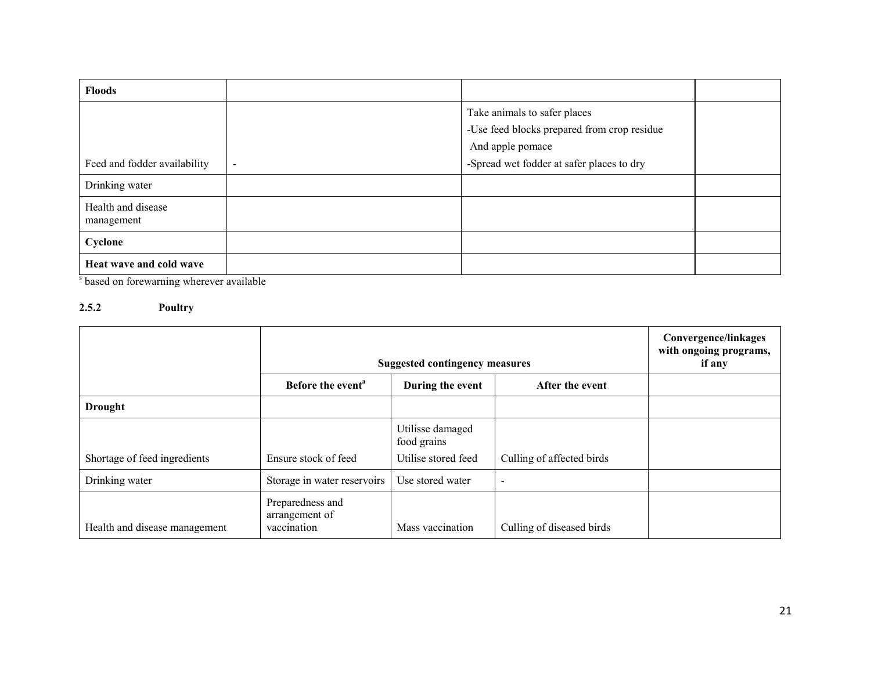| <b>Floods</b>                    |                |                                                                                                 |  |
|----------------------------------|----------------|-------------------------------------------------------------------------------------------------|--|
|                                  |                | Take animals to safer places<br>-Use feed blocks prepared from crop residue<br>And apple pomace |  |
| Feed and fodder availability     | $\blacksquare$ | -Spread wet fodder at safer places to dry                                                       |  |
| Drinking water                   |                |                                                                                                 |  |
| Health and disease<br>management |                |                                                                                                 |  |
| Cyclone                          |                |                                                                                                 |  |
| Heat wave and cold wave          |                |                                                                                                 |  |

s based on forewarning wherever available

## 2.5.2 Poultry

|                               | <b>Suggested contingency measures</b>                                |                                 |                           | Convergence/linkages<br>with ongoing programs,<br>if any |
|-------------------------------|----------------------------------------------------------------------|---------------------------------|---------------------------|----------------------------------------------------------|
|                               | Before the event <sup>a</sup><br>During the event<br>After the event |                                 |                           |                                                          |
| Drought                       |                                                                      |                                 |                           |                                                          |
|                               |                                                                      | Utilisse damaged<br>food grains |                           |                                                          |
| Shortage of feed ingredients  | Ensure stock of feed                                                 | Utilise stored feed             | Culling of affected birds |                                                          |
| Drinking water                | Storage in water reservoirs                                          | Use stored water                | $\overline{\phantom{0}}$  |                                                          |
| Health and disease management | Preparedness and<br>arrangement of<br>vaccination                    | Mass vaccination                | Culling of diseased birds |                                                          |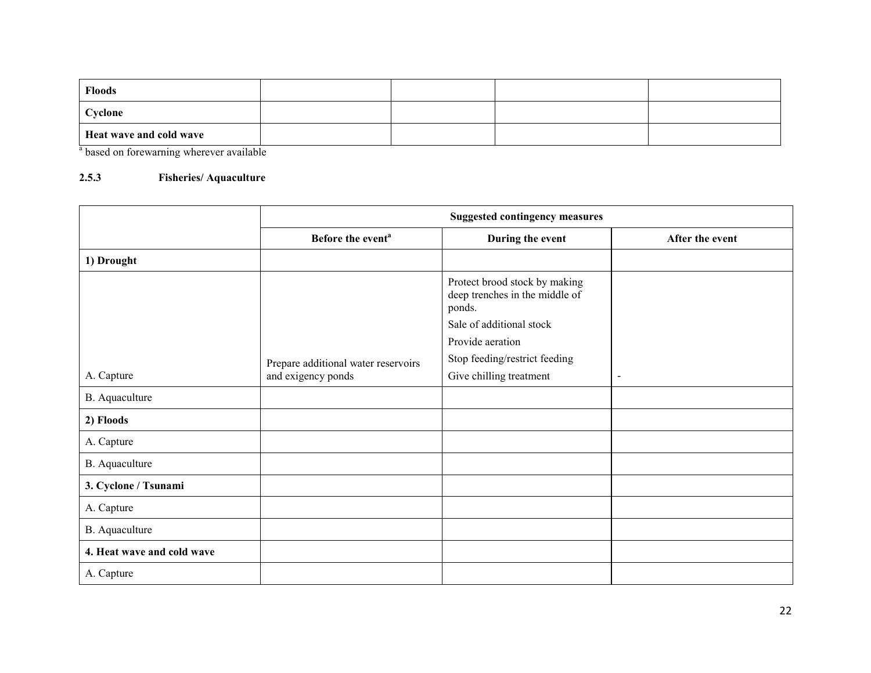| <b>Floods</b>           |  |  |
|-------------------------|--|--|
| Cyclone                 |  |  |
| Heat wave and cold wave |  |  |

<sup>a</sup> based on forewarning wherever available

# 2.5.3 Fisheries/ Aquaculture

|                            | <b>Suggested contingency measures</b> |                                                                           |                 |  |
|----------------------------|---------------------------------------|---------------------------------------------------------------------------|-----------------|--|
|                            | Before the event <sup>a</sup>         | During the event                                                          | After the event |  |
| 1) Drought                 |                                       |                                                                           |                 |  |
|                            |                                       | Protect brood stock by making<br>deep trenches in the middle of<br>ponds. |                 |  |
|                            |                                       | Sale of additional stock                                                  |                 |  |
|                            |                                       | Provide aeration                                                          |                 |  |
|                            | Prepare additional water reservoirs   | Stop feeding/restrict feeding                                             |                 |  |
| A. Capture                 | and exigency ponds                    | Give chilling treatment                                                   | $\blacksquare$  |  |
| B. Aquaculture             |                                       |                                                                           |                 |  |
| 2) Floods                  |                                       |                                                                           |                 |  |
| A. Capture                 |                                       |                                                                           |                 |  |
| B. Aquaculture             |                                       |                                                                           |                 |  |
| 3. Cyclone / Tsunami       |                                       |                                                                           |                 |  |
| A. Capture                 |                                       |                                                                           |                 |  |
| B. Aquaculture             |                                       |                                                                           |                 |  |
| 4. Heat wave and cold wave |                                       |                                                                           |                 |  |
| A. Capture                 |                                       |                                                                           |                 |  |